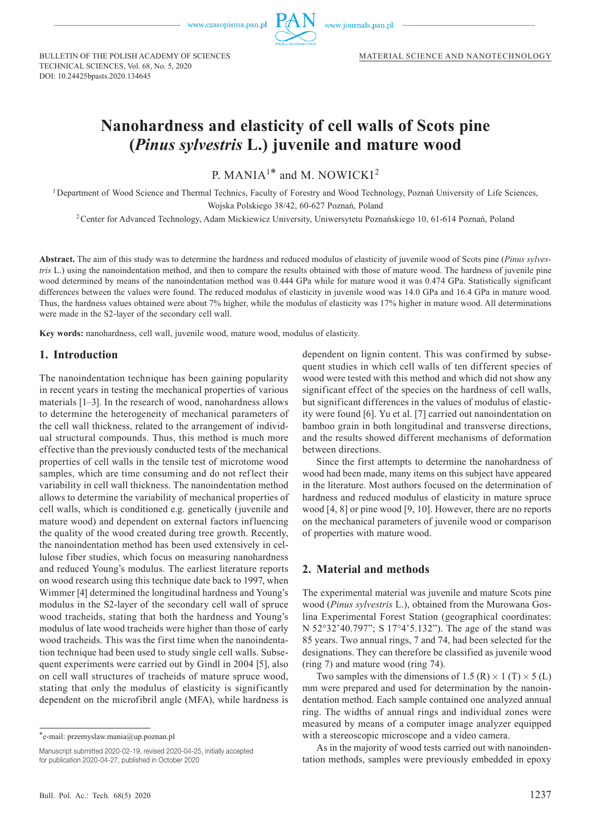

www.journals.pan.pl

BULLETIN OF THE POLISH ACADEMY OF SCIENCES TECHNICAL SCIENCES, Vol. 68, No. 5, 2020 DOI: 10.24425bpasts.2020.134645

# **Nanohardness and elasticity of cell walls of Scots pine (***Pinus sylvestris* **L.) juvenile and mature wood**

P. MANIA<sup>1\*</sup> and M. NOWICKI<sup>2</sup>

<sup>1</sup>Department of Wood Science and Thermal Technics, Faculty of Forestry and Wood Technology, Poznań University of Life Sciences, Wojska Polskiego 38/42, 60-627 Poznań, Poland

<sup>2</sup>Center for Advanced Technology, Adam Mickiewicz University, Uniwersytetu Poznańskiego 10, 61-614 Poznań, Poland

**Abstract.** The aim of this study was to determine the hardness and reduced modulus of elasticity of juvenile wood of Scots pine (*Pinus sylvestris* L.) using the nanoindentation method, and then to compare the results obtained with those of mature wood. The hardness of juvenile pine wood determined by means of the nanoindentation method was 0.444 GPa while for mature wood it was 0.474 GPa. Statistically significant differences between the values were found. The reduced modulus of elasticity in juvenile wood was 14.0 GPa and 16.4 GPa in mature wood. Thus, the hardness values obtained were about 7% higher, while the modulus of elasticity was 17% higher in mature wood. All determinations were made in the S2-layer of the secondary cell wall.

**Key words:** nanohardness, cell wall, juvenile wood, mature wood, modulus of elasticity.

#### **1. Introduction**

The nanoindentation technique has been gaining popularity in recent years in testing the mechanical properties of various materials [1–3]. In the research of wood, nanohardness allows to determine the heterogeneity of mechanical parameters of the cell wall thickness, related to the arrangement of individual structural compounds. Thus, this method is much more effective than the previously conducted tests of the mechanical properties of cell walls in the tensile test of microtome wood samples, which are time consuming and do not reflect their variability in cell wall thickness. The nanoindentation method allows to determine the variability of mechanical properties of cell walls, which is conditioned e.g. genetically (juvenile and mature wood) and dependent on external factors influencing the quality of the wood created during tree growth. Recently, the nanoindentation method has been used extensively in cellulose fiber studies, which focus on measuring nanohardness and reduced Young's modulus. The earliest literature reports on wood research using this technique date back to 1997, when Wimmer [4] determined the longitudinal hardness and Young's modulus in the S2-layer of the secondary cell wall of spruce wood tracheids, stating that both the hardness and Young's modulus of late wood tracheids were higher than those of early wood tracheids. This was the first time when the nanoindentation technique had been used to study single cell walls. Subsequent experiments were carried out by Gindl in 2004 [5], also on cell wall structures of tracheids of mature spruce wood, stating that only the modulus of elasticity is significantly dependent on the microfibril angle (MFA), while hardness is

Manuscript submitted 2020-02-19, revised 2020-04-25, initially accepted for publication 2020-04-27, published in October 2020

dependent on lignin content. This was confirmed by subsequent studies in which cell walls of ten different species of wood were tested with this method and which did not show any significant effect of the species on the hardness of cell walls, but significant differences in the values of modulus of elasticity were found [6]. Yu et al. [7] carried out nanoindentation on bamboo grain in both longitudinal and transverse directions, and the results showed different mechanisms of deformation between directions.

Since the first attempts to determine the nanohardness of wood had been made, many items on this subject have appeared in the literature. Most authors focused on the determination of hardness and reduced modulus of elasticity in mature spruce wood [4, 8] or pine wood [9, 10]. However, there are no reports on the mechanical parameters of juvenile wood or comparison of properties with mature wood.

# **2. Material and methods**

The experimental material was juvenile and mature Scots pine wood (*Pinus sylvestris* L.), obtained from the Murowana Goslina Experimental Forest Station (geographical coordinates: N 52°32'40.797"; S 17°4'5.132"). The age of the stand was 85 years. Two annual rings, 7 and 74, had been selected for the designations. They can therefore be classified as juvenile wood (ring 7) and mature wood (ring 74).

Two samples with the dimensions of 1.5 (R)  $\times$  1 (T)  $\times$  5 (L) mm were prepared and used for determination by the nanoindentation method. Each sample contained one analyzed annual ring. The widths of annual rings and individual zones were measured by means of a computer image analyzer equipped with a stereoscopic microscope and a video camera.

As in the majority of wood tests carried out with nanoindentation methods, samples were previously embedded in epoxy

<sup>\*</sup>e-mail: przemyslaw.mania@up.poznan.pl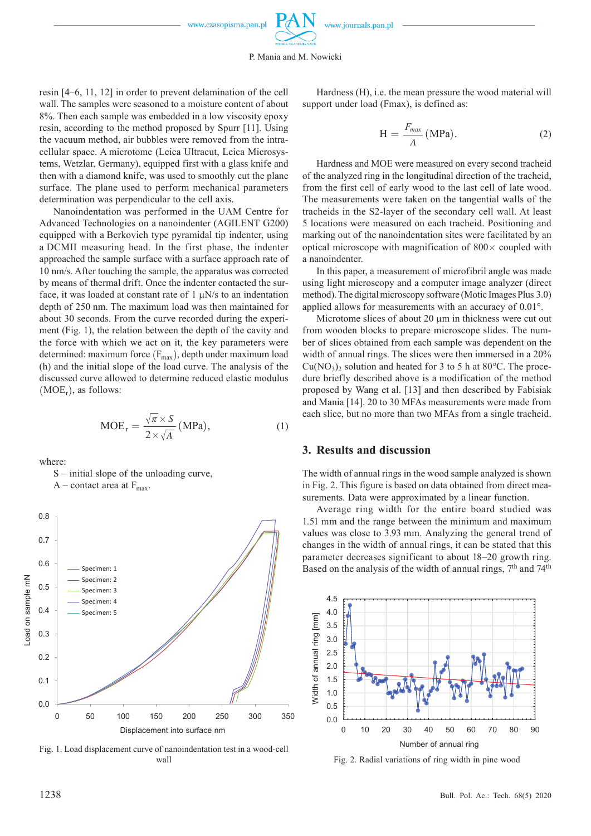resin [4–6, 11, 12] in order to prevent delamination of the cell wall. The samples were seasoned to a moisture content of about 8%. Then each sample was embedded in a low viscosity epoxy resin, according to the method proposed by Spurr [11]. Using the vacuum method, air bubbles were removed from the intracellular space. A microtome (Leica Ultracut, Leica Microsystems, Wetzlar, Germany), equipped first with a glass knife and then with a diamond knife, was used to smoothly cut the plane surface. The plane used to perform mechanical parameters determination was perpendicular to the cell axis.

Nanoindentation was performed in the UAM Centre for Advanced Technologies on a nanoindenter (AGILENT G200) equipped with a Berkovich type pyramidal tip indenter, using a DCMII measuring head. In the first phase, the indenter approached the sample surface with a surface approach rate of 10 nm/s. After touching the sample, the apparatus was corrected by means of thermal drift. Once the indenter contacted the surface, it was loaded at constant rate of  $1 \mu N/s$  to an indentation depth of 250 nm. The maximum load was then maintained for about 30 seconds. From the curve recorded during the experiment (Fig. 1), the relation between the depth of the cavity and the force with which we act on it, the key parameters were determined: maximum force  $(F_{\text{max}})$ , depth under maximum load (h) and the initial slope of the load curve. The analysis of the discussed curve allowed to determine reduced elastic modulus  $(MOE<sub>r</sub>)$ , as follows:

$$
MOE_r = \frac{\sqrt{\pi} \times S}{2 \times \sqrt{A}} (MPa), \qquad (1)
$$

where:

S – initial slope of the unloading curve,

 $A$  – contact area at  $F_{\text{max}}$ .



Fig. 1. Load displacement curve of nanoindentation test in a wood-cell wall

Hardness (H), i.e. the mean pressure the wood material will support under load (Fmax), is defined as:

$$
H = \frac{F_{max}}{A} (MPa).
$$
 (2)

Hardness and MOE were measured on every second tracheid of the analyzed ring in the longitudinal direction of the tracheid, from the first cell of early wood to the last cell of late wood. The measurements were taken on the tangential walls of the tracheids in the S2-layer of the secondary cell wall. At least 5 locations were measured on each tracheid. Positioning and marking out of the nanoindentation sites were facilitated by an optical microscope with magnification of  $800 \times$  coupled with a nanoindenter.

In this paper, a measurement of microfibril angle was made using light microscopy and a computer image analyzer (direct method). The digital microscopy software (Motic Images Plus 3.0) applied allows for measurements with an accuracy of 0.01°.

Microtome slices of about 20 μm in thickness were cut out from wooden blocks to prepare microscope slides. The number of slices obtained from each sample was dependent on the width of annual rings. The slices were then immersed in a 20%  $Cu(NO<sub>3</sub>)<sub>2</sub>$  solution and heated for 3 to 5 h at 80 $^{\circ}$ C. The procedure briefly described above is a modification of the method proposed by Wang et al. [13] and then described by Fabisiak and Mania [14]. 20 to 30 MFAs measurements were made from each slice, but no more than two MFAs from a single tracheid.

### **3. Results and discussion**

The width of annual rings in the wood sample analyzed is shown in Fig. 2. This figure is based on data obtained from direct measurements. Data were approximated by a linear function.

Average ring width for the entire board studied was 1.51 mm and the range between the minimum and maximum values was close to 3.93 mm. Analyzing the general trend of changes in the width of annual rings, it can be stated that this parameter decreases significant to about 18–20 growth ring. Based on the analysis of the width of annual rings, 7<sup>th</sup> and 74<sup>th</sup>



Fig. 2. Radial variations of ring width in pine wood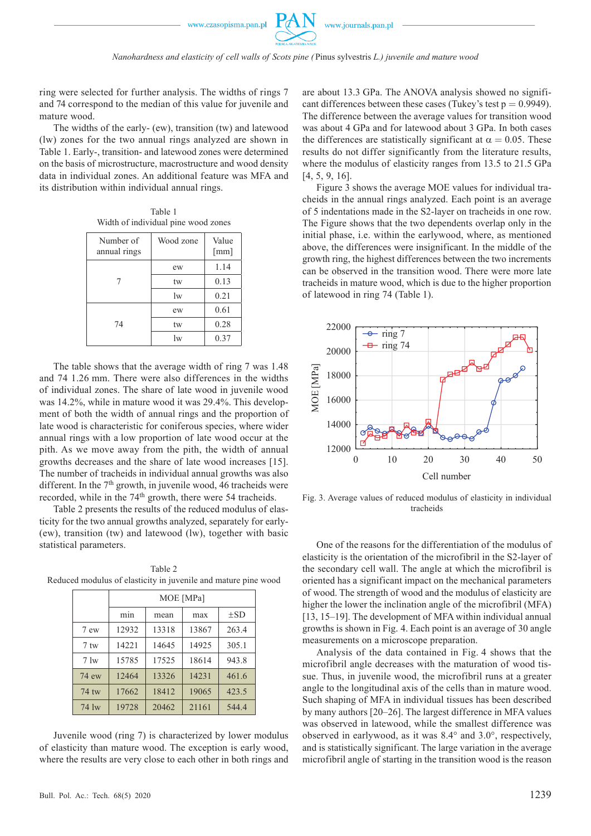ring were selected for further analysis. The widths of rings 7 and 74 correspond to the median of this value for juvenile and mature wood.

The widths of the early- (ew), transition (tw) and latewood (lw) zones for the two annual rings analyzed are shown in Table 1. Early-, transition- and latewood zones were determined on the basis of microstructure, macrostructure and wood density data in individual zones. An additional feature was MFA and its distribution within individual annual rings.

Table 1 Width of individual pine wood zones

| Number of<br>annual rings | Wood zone | Value<br>[mm] |
|---------------------------|-----------|---------------|
|                           | ew        | 1.14          |
|                           | tw        | 0.13          |
|                           | lw        | 0.21          |
| 74                        | ew        | 0.61          |
|                           | tw        | 0.28          |
|                           | lw        | 0.37          |

The table shows that the average width of ring 7 was 1.48 and 74 1.26 mm. There were also differences in the widths of individual zones. The share of late wood in juvenile wood was 14.2%, while in mature wood it was 29.4%. This development of both the width of annual rings and the proportion of late wood is characteristic for coniferous species, where wider annual rings with a low proportion of late wood occur at the pith. As we move away from the pith, the width of annual growths decreases and the share of late wood increases [15]. The number of tracheids in individual annual growths was also different. In the 7<sup>th</sup> growth, in juvenile wood, 46 tracheids were recorded, while in the 74<sup>th</sup> growth, there were 54 tracheids.

Table 2 presents the results of the reduced modulus of elasticity for the two annual growths analyzed, separately for early- (ew), transition (tw) and latewood (lw), together with basic statistical parameters.

Table 2 Reduced modulus of elasticity in juvenile and mature pine wood

|               | MOE [MPa] |       |       |          |  |
|---------------|-----------|-------|-------|----------|--|
|               | min       | mean  | max   | $\pm$ SD |  |
| 7 ew          | 12932     | 13318 | 13867 | 263.4    |  |
| $7$ tw        | 14221     | 14645 | 14925 | 305.1    |  |
| $7 \text{lw}$ | 15785     | 17525 | 18614 | 943.8    |  |
| 74 ew         | 12464     | 13326 | 14231 | 461.6    |  |
| 74 tw         | 17662     | 18412 | 19065 | 423.5    |  |
| 74 lw         | 19728     | 20462 | 21161 | 544.4    |  |

Juvenile wood (ring 7) is characterized by lower modulus of elasticity than mature wood. The exception is early wood, where the results are very close to each other in both rings and are about 13.3 GPa. The ANOVA analysis showed no significant differences between these cases (Tukey's test  $p = 0.9949$ ). The difference between the average values for transition wood was about 4 GPa and for latewood about 3 GPa. In both cases the differences are statistically significant at  $\alpha = 0.05$ . These results do not differ significantly from the literature results, where the modulus of elasticity ranges from 13.5 to 21.5 GPa [4, 5, 9, 16].

Figure 3 shows the average MOE values for individual tracheids in the annual rings analyzed. Each point is an average of 5 indentations made in the S2-layer on tracheids in one row. The Figure shows that the two dependents overlap only in the initial phase, i.e. within the earlywood, where, as mentioned above, the differences were insignificant. In the middle of the growth ring, the highest differences between the two increments can be observed in the transition wood. There were more late tracheids in mature wood, which is due to the higher proportion of latewood in ring 74 (Table 1).



Fig. 3. Average values of reduced modulus of elasticity in individual tracheids

One of the reasons for the differentiation of the modulus of elasticity is the orientation of the microfibril in the S2-layer of the secondary cell wall. The angle at which the microfibril is oriented has a significant impact on the mechanical parameters of wood. The strength of wood and the modulus of elasticity are higher the lower the inclination angle of the microfibril (MFA) [13, 15–19]. The development of MFA within individual annual growths is shown in Fig. 4. Each point is an average of 30 angle measurements on a microscope preparation.

Analysis of the data contained in Fig. 4 shows that the microfibril angle decreases with the maturation of wood tissue. Thus, in juvenile wood, the microfibril runs at a greater angle to the longitudinal axis of the cells than in mature wood. Such shaping of MFA in individual tissues has been described by many authors [20–26]. The largest difference in MFA values was observed in latewood, while the smallest difference was observed in earlywood, as it was 8.4° and 3.0°, respectively, and is statistically significant. The large variation in the average microfibril angle of starting in the transition wood is the reason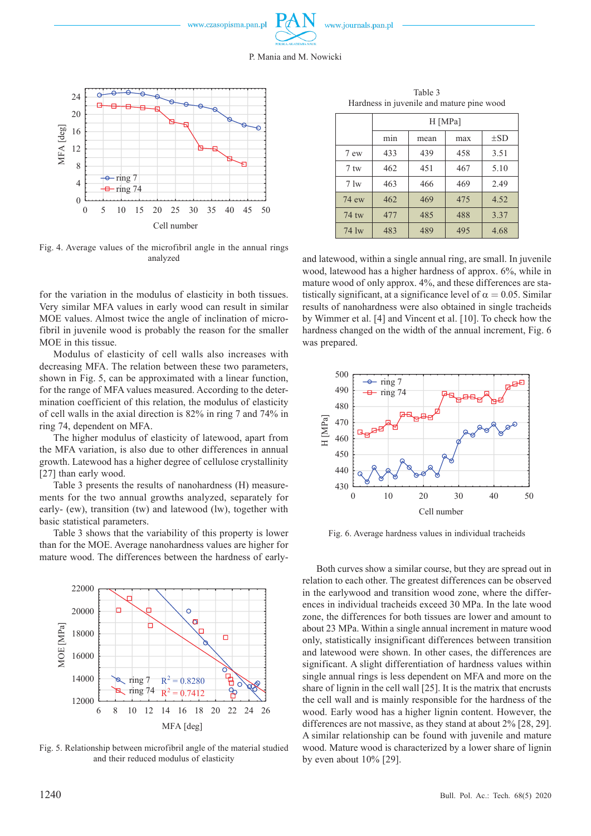





Fig. 4. Average values of the microfibril angle in the annual rings analyzed

for the variation in the modulus of elasticity in both tissues. Very similar MFA values in early wood can result in similar MOE values. Almost twice the angle of inclination of microfibril in juvenile wood is probably the reason for the smaller MOE in this tissue.

Modulus of elasticity of cell walls also increases with decreasing MFA. The relation between these two parameters, shown in Fig. 5, can be approximated with a linear function, for the range of MFA values measured. According to the determination coefficient of this relation, the modulus of elasticity of cell walls in the axial direction is 82% in ring 7 and 74% in ring 74, dependent on MFA.

The higher modulus of elasticity of latewood, apart from the MFA variation, is also due to other differences in annual growth. Latewood has a higher degree of cellulose crystallinity [27] than early wood.

Table 3 presents the results of nanohardness (H) measurements for the two annual growths analyzed, separately for early- (ew), transition (tw) and latewood (lw), together with basic statistical parameters.

Table 3 shows that the variability of this property is lower than for the MOE. Average nanohardness values are higher for mature wood. The differences between the hardness of early-



Fig. 5. Relationship between microfibril angle of the material studied and their reduced modulus of elasticity

Table 3 Hardness in juvenile and mature pine wood

|                | H [MPa]          |      |     |          |  |
|----------------|------------------|------|-----|----------|--|
|                | m <sub>1</sub> n | mean | max | $\pm$ SD |  |
| 7 ew           | 433              | 439  | 458 | 3.51     |  |
| $7$ tw         | 462              | 451  | 467 | 5.10     |  |
| $7 \text{lw}$  | 463              | 466  | 469 | 2.49     |  |
| 74 ew          | 462              | 469  | 475 | 4.52     |  |
| 74 tw          | 477              | 485  | 488 | 3.37     |  |
| $74 \text{lw}$ | 483              | 489  | 495 | 4.68     |  |

and latewood, within a single annual ring, are small. In juvenile wood, latewood has a higher hardness of approx. 6%, while in mature wood of only approx. 4%, and these differences are statistically significant, at a significance level of  $\alpha = 0.05$ . Similar results of nanohardness were also obtained in single tracheids by Wimmer et al. [4] and Vincent et al. [10]. To check how the hardness changed on the width of the annual increment, Fig. 6 was prepared.



Fig. 6. Average hardness values in individual tracheids

Both curves show a similar course, but they are spread out in relation to each other. The greatest differences can be observed in the earlywood and transition wood zone, where the differences in individual tracheids exceed 30 MPa. In the late wood zone, the differences for both tissues are lower and amount to about 23 MPa. Within a single annual increment in mature wood only, statistically insignificant differences between transition and latewood were shown. In other cases, the differences are significant. A slight differentiation of hardness values within single annual rings is less dependent on MFA and more on the share of lignin in the cell wall [25]. It is the matrix that encrusts the cell wall and is mainly responsible for the hardness of the wood. Early wood has a higher lignin content. However, the differences are not massive, as they stand at about 2% [28, 29]. A similar relationship can be found with juvenile and mature wood. Mature wood is characterized by a lower share of lignin by even about 10% [29].